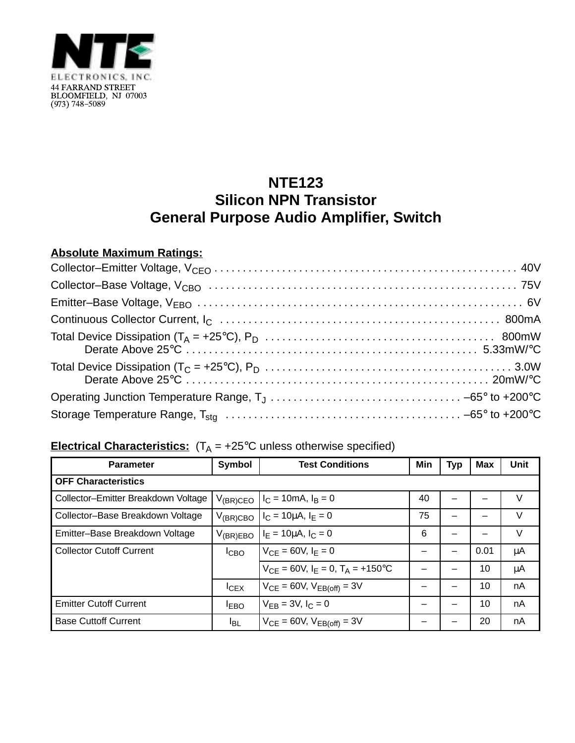

## **NTE123 Silicon NPN Transistor General Purpose Audio Amplifier, Switch**

## **Absolute Maximum Ratings:**

## **Electrical Characteristics:**  $(T_A = +25^\circ C$  unless otherwise specified)

| <b>Parameter</b>                    | <b>Symbol</b>    | <b>Test Conditions</b>                       | Min | <b>Typ</b> | <b>Max</b> | Unit   |  |  |  |
|-------------------------------------|------------------|----------------------------------------------|-----|------------|------------|--------|--|--|--|
| <b>OFF Characteristics</b>          |                  |                                              |     |            |            |        |  |  |  |
| Collector-Emitter Breakdown Voltage | $V_{(BR)CEO}$    | $I_C = 10 \text{mA}, I_B = 0$                | 40  |            |            | V      |  |  |  |
| Collector-Base Breakdown Voltage    | $V_{(BR)CBO}$    | $I_C = 10 \mu A$ , $I_E = 0$                 | 75  |            |            | $\vee$ |  |  |  |
| Emitter-Base Breakdown Voltage      | $V_{(BR)EBO}$    | $I_F = 10 \mu A$ , $I_C = 0$                 | 6   |            |            | V      |  |  |  |
| <b>Collector Cutoff Current</b>     | I <sub>CBO</sub> | $V_{CF} = 60V, I_F = 0$                      |     |            | 0.01       | μA     |  |  |  |
|                                     |                  | $V_{CF} = 60V$ , $I_F = 0$ , $T_A = +150$ °C |     |            | 10         | μA     |  |  |  |
|                                     | ICEX             | $V_{CE} = 60V$ , $V_{EB(off)} = 3V$          |     |            | 10         | nA     |  |  |  |
| <b>Emitter Cutoff Current</b>       | $I_{EBO}$        | $V_{FR} = 3V, I_C = 0$                       |     |            | 10         | nA     |  |  |  |
| <b>Base Cuttoff Current</b>         | <b>IBL</b>       | $V_{CE} = 60V$ , $V_{EB(off)} = 3V$          |     |            | 20         | nA     |  |  |  |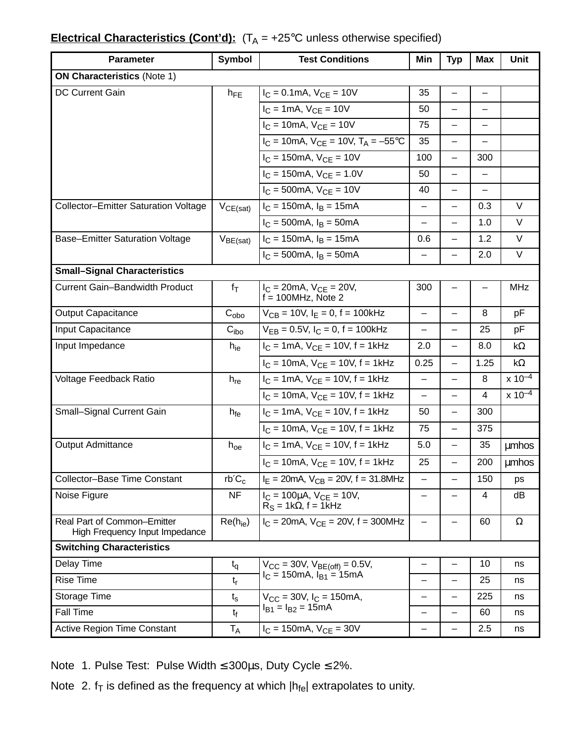## **Electrical Characteristics (Cont'd):**  $(T_A = +25^{\circ}C$  unless otherwise specified)

| <b>Parameter</b>                                              | <b>Symbol</b>    | <b>Test Conditions</b>                                               | Min                      | <b>Typ</b>               | <b>Max</b>               | <b>Unit</b>  |  |  |  |  |
|---------------------------------------------------------------|------------------|----------------------------------------------------------------------|--------------------------|--------------------------|--------------------------|--------------|--|--|--|--|
| <b>ON Characteristics (Note 1)</b>                            |                  |                                                                      |                          |                          |                          |              |  |  |  |  |
| <b>DC Current Gain</b>                                        | $h_{FE}$         | $I_C = 0.1$ mA, $V_{CE} = 10V$                                       | 35                       |                          | -                        |              |  |  |  |  |
|                                                               |                  | $I_C = 1 \text{mA}, V_{CF} = 10V$                                    | 50                       | $\qquad \qquad -$        | $\overline{\phantom{0}}$ |              |  |  |  |  |
|                                                               |                  | $I_C = 10mA$ , $V_{CE} = 10V$                                        | 75                       | —                        | —                        |              |  |  |  |  |
|                                                               |                  | $I_C = 10$ mA, $V_{CE} = 10V$ , $T_A = -55^{\circ}C$                 | 35                       |                          |                          |              |  |  |  |  |
|                                                               |                  | $I_C = 150$ mA, $V_{CE} = 10V$                                       | 100                      | $\overline{\phantom{0}}$ | 300                      |              |  |  |  |  |
|                                                               |                  | $I_C = 150 \text{mA}$ , $V_{CE} = 1.0 \text{V}$                      | 50                       |                          |                          |              |  |  |  |  |
|                                                               |                  | $I_C = 500 \text{mA}$ , $V_{CE} = 10V$                               | 40                       |                          |                          |              |  |  |  |  |
| <b>Collector-Emitter Saturation Voltage</b>                   | $V_{CE(sat)}$    | $I_C = 150 \text{mA}, I_B = 15 \text{mA}$                            | $\qquad \qquad -$        | $\overline{\phantom{0}}$ | 0.3                      | $\vee$       |  |  |  |  |
|                                                               |                  | $I_C = 500 \text{mA}, I_B = 50 \text{mA}$                            | $\overline{\phantom{0}}$ | —                        | 1.0                      | $\vee$       |  |  |  |  |
| <b>Base-Emitter Saturation Voltage</b>                        | $V_{BE(sat)}$    | $I_C = 150 \text{mA}, I_B = 15 \text{mA}$                            | 0.6                      | $\overline{\phantom{0}}$ | 1.2                      | V            |  |  |  |  |
|                                                               |                  | $I_C = 500 \text{mA}, I_B = 50 \text{mA}$                            | -                        | —                        | 2.0                      | V            |  |  |  |  |
| <b>Small-Signal Characteristics</b>                           |                  |                                                                      |                          |                          |                          |              |  |  |  |  |
| <b>Current Gain-Bandwidth Product</b>                         | $f_T$            | $I_C = 20mA$ , $V_{CE} = 20V$ ,<br>$f = 100$ MHz, Note 2             | 300                      |                          |                          | <b>MHz</b>   |  |  |  |  |
| <b>Output Capacitance</b>                                     | $C_{\text{obo}}$ | $V_{CB} = 10V$ , $I_E = 0$ , $f = 100kHz$                            | $\overline{\phantom{0}}$ |                          | 8                        | pF           |  |  |  |  |
| Input Capacitance                                             | C <sub>ibo</sub> | $V_{EB} = 0.5V$ , $I_C = 0$ , $f = 100kHz$                           | $\overline{\phantom{0}}$ |                          | 25                       | pF           |  |  |  |  |
| Input Impedance                                               | $h_{ie}$         | $I_C = 1$ mA, $V_{CE} = 10V$ , f = 1kHz                              | 2.0                      | —                        | 8.0                      | $k\Omega$    |  |  |  |  |
|                                                               |                  | $I_C = 10mA$ , $V_{CE} = 10V$ , $f = 1kHz$                           | 0.25                     | $\overline{\phantom{0}}$ | 1.25                     | $k\Omega$    |  |  |  |  |
| Voltage Feedback Ratio                                        | $h_{re}$         | $I_C = 1 \text{ mA}$ , $V_{CE} = 10V$ , $f = 1 \text{ kHz}$          | $\overline{\phantom{0}}$ | $\overline{\phantom{0}}$ | 8                        | $x 10^{-4}$  |  |  |  |  |
|                                                               |                  | $I_C = 10mA$ , $V_{CE} = 10V$ , $f = 1kHz$                           | $\overline{\phantom{0}}$ | -                        | 4                        | $x 10^{-4}$  |  |  |  |  |
| Small-Signal Current Gain                                     | $h_{fe}$         | $I_C = 1 \text{mA}$ , $V_{CE} = 10 \text{V}$ , f = 1kHz              | 50                       | —                        | 300                      |              |  |  |  |  |
|                                                               |                  | $I_C = 10mA$ , $V_{CE} = 10V$ , $f = 1kHz$                           | 75                       | $\overline{\phantom{0}}$ | 375                      |              |  |  |  |  |
| <b>Output Admittance</b>                                      | $h_{oe}$         | $I_C = 1 \text{ mA}$ , $V_{CE} = 10V$ , $f = 1 \text{ kHz}$          | 5.0                      |                          | 35                       | <b>umhos</b> |  |  |  |  |
|                                                               |                  | $I_C = 10mA$ , $V_{CF} = 10V$ , $f = 1kHz$                           | 25                       |                          | 200                      | <b>umhos</b> |  |  |  |  |
| Collector-Base Time Constant                                  | $rb'C_c$         | $I_E = 20mA$ , $V_{CB} = 20V$ , f = 31.8MHz                          | —                        | -                        | 150                      | ps           |  |  |  |  |
| Noise Figure                                                  | <b>NF</b>        | $I_C = 100 \mu A$ , $V_{CE} = 10 V$ ,<br>$R_S = 1k\Omega$ , f = 1kHz | —                        |                          | 4                        | dB           |  |  |  |  |
| Real Part of Common-Emitter<br>High Frequency Input Impedance | $Re(h_{ie})$     | $I_C = 20 \text{mA}$ , $V_{CF} = 20 \text{V}$ , f = 300MHz           | —                        | —                        | 60                       | $\Omega$     |  |  |  |  |
| <b>Switching Characteristics</b>                              |                  |                                                                      |                          |                          |                          |              |  |  |  |  |
| Delay Time                                                    | $t_{q}$          | $V_{CC}$ = 30V, $V_{BE(off)}$ = 0.5V,                                | $\qquad \qquad -$        | -                        | 10                       | ns           |  |  |  |  |
| <b>Rise Time</b>                                              | $t_{r}$          | $I_C = 150 \text{mA}, I_{B1} = 15 \text{mA}$                         | $\overline{\phantom{0}}$ | —                        | 25                       | ns           |  |  |  |  |
| Storage Time                                                  | $t_{\rm s}$      | $V_{CC}$ = 30V, $I_C$ = 150mA,                                       | —                        |                          | 225                      | ns           |  |  |  |  |
| <b>Fall Time</b>                                              | $t_{\rm f}$      | $I_{B1} = I_{B2} = 15mA$                                             | —                        | $\overline{\phantom{0}}$ | 60                       | ns           |  |  |  |  |
| <b>Active Region Time Constant</b>                            | T <sub>A</sub>   | $I_C = 150$ mA, $V_{CE} = 30V$                                       | —                        | —                        | 2.5                      | ns           |  |  |  |  |

Note 1. Pulse Test: Pulse Width ≤ 300µs, Duty Cycle ≤ 2%.

Note 2.  $f_T$  is defined as the frequency at which  $|h_{fe}|$  extrapolates to unity.